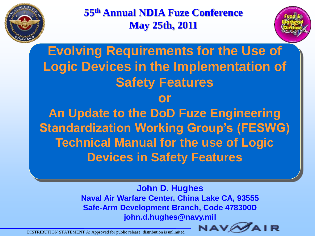

**55th Annual NDIA Fuze Conference May 25th, 2011**



**Evolving Requirements for the Use of Logic Devices in the Implementation of Safety Features or An Update to the DoD Fuze Engineering Standardization Working Group's (FESWG) Technical Manual for the use of Logic Devices in Safety Features**

> **John D. Hughes Naval Air Warfare Center, China Lake CA, 93555 Safe-Arm Development Branch, Code 478300D john.d.hughes@navy.mil**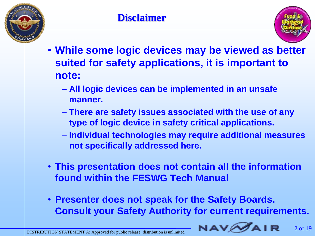



- **While some logic devices may be viewed as better suited for safety applications, it is important to note:**
	- **All logic devices can be implemented in an unsafe manner.**
	- **There are safety issues associated with the use of any type of logic device in safety critical applications.**
	- **Individual technologies may require additional measures not specifically addressed here.**
- **This presentation does not contain all the information found within the FESWG Tech Manual**
- **Presenter does not speak for the Safety Boards. Consult your Safety Authority for current requirements.**

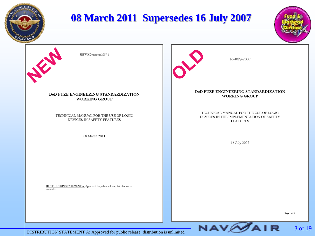

3 of 19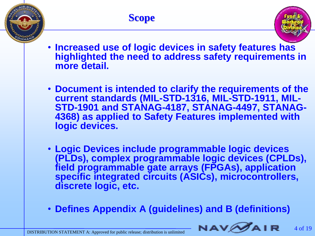



- **Increased use of logic devices in safety features has highlighted the need to address safety requirements in more detail.**
- **Document is intended to clarify the requirements of the current standards (MIL-STD-1316, MIL-STD-1911, MIL-STD-1901 and STANAG-4187, STANAG-4497, STANAG-4368) as applied to Safety Features implemented with logic devices.**
- **Logic Devices include programmable logic devices (PLDs), complex programmable logic devices (CPLDs), field programmable gate arrays (FPGAs), application specific integrated circuits (ASICs), microcontrollers, discrete logic, etc.**
- **Defines Appendix A (guidelines) and B (definitions)**

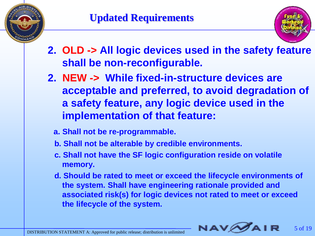



- **2. OLD -> All logic devices used in the safety feature shall be non-reconfigurable.**
- **2. NEW -> While fixed-in-structure devices are acceptable and preferred, to avoid degradation of a safety feature, any logic device used in the implementation of that feature:**
	- **a. Shall not be re-programmable.**
	- **b. Shall not be alterable by credible environments.**
	- **c. Shall not have the SF logic configuration reside on volatile memory.**
	- **d. Should be rated to meet or exceed the lifecycle environments of the system. Shall have engineering rationale provided and associated risk(s) for logic devices not rated to meet or exceed the lifecycle of the system.**

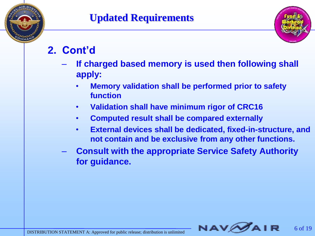

### **Updated Requirements**



6 of 19

## **2. Cont'd**

- **If charged based memory is used then following shall apply:**
	- **Memory validation shall be performed prior to safety function**
	- **Validation shall have minimum rigor of CRC16**
	- **Computed result shall be compared externally**
	- **External devices shall be dedicated, fixed-in-structure, and not contain and be exclusive from any other functions.**
- **Consult with the appropriate Service Safety Authority for guidance.**

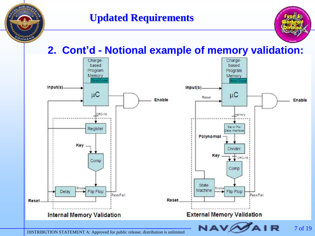



#### **2. Cont'd - Notional example of memory validation:**

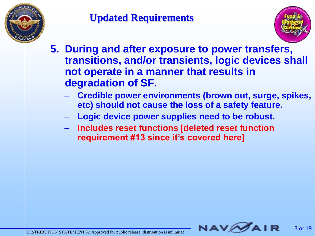



- **5. During and after exposure to power transfers, transitions, and/or transients, logic devices shall not operate in a manner that results in degradation of SF.**
	- **Credible power environments (brown out, surge, spikes, etc) should not cause the loss of a safety feature.**
	- **Logic device power supplies need to be robust.**
	- **Includes reset functions [deleted reset function requirement #13 since it's covered here]**

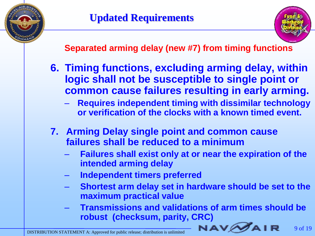

#### **Separated arming delay (new #7) from timing functions**

- **6. Timing functions, excluding arming delay, within logic shall not be susceptible to single point or common cause failures resulting in early arming.**
	- **Requires independent timing with dissimilar technology or verification of the clocks with a known timed event.**
- **7. Arming Delay single point and common cause failures shall be reduced to a minimum**
	- **Failures shall exist only at or near the expiration of the intended arming delay**
	- **Independent timers preferred**
	- **Shortest arm delay set in hardware should be set to the maximum practical value**
	- **Transmissions and validations of arm times should be robust (checksum, parity, CRC)**

**NAV**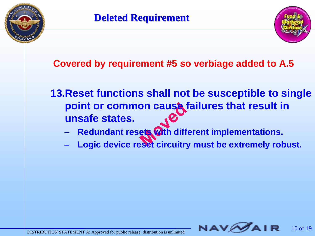



**Covered by requirement #5 so verbiage added to A.5**

**13.Reset functions shall not be susceptible to single point or common cause failures that result in unsafe states.**

- **Redundant resets with different implementations.**
- **Logic device reset circuitry must be extremely robust.**

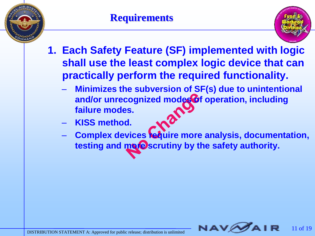



- **1. Each Safety Feature (SF) implemented with logic shall use the least complex logic device that can practically perform the required functionality.**
	- **Minimizes the subversion of SF(s) due to unintentional**  and/or unrecognized modes of operation, including **failure modes.**
	- **KISS method.**
	- Complex devices **require more analysis, documentation,** testing and more scrutiny by the safety authority.

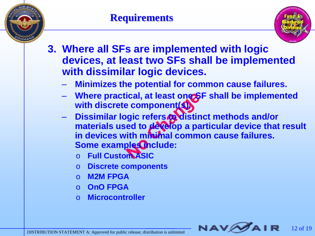



- **3. Where all SFs are implemented with logic devices, at least two SFs shall be implemented with dissimilar logic devices.**
	- **Minimizes the potential for common cause failures.**
	- **Where practical, at least one SF shall be implemented with discrete component(s).**
	- **Dissimilar logic refers to distinct methods and/or**  materials used to develop a particular device that result **in devices with minimal common cause failures. Some examples include:** 
		- o **Full Custom ASIC**
		- o **Discrete components**
		- o **M2M FPGA**
		- o **OnO FPGA**
		- o **Microcontroller**

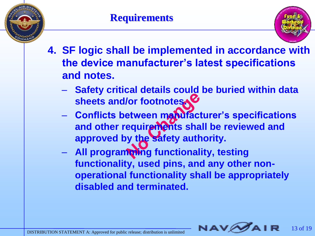



- **4. SF logic shall be implemented in accordance with the device manufacturer's latest specifications and notes.**
	- **Safety critical details could be buried within data sheets and/or footnotes.**
	- **Conflicts between manufacturer's specifications and other requirements shall be reviewed and approved by the safety authority.**
	- **All programming functionality, testing functionality, used pins, and any other nonoperational functionality shall be appropriately disabled and terminated.**

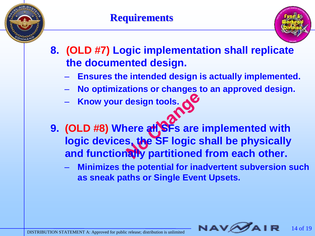



- **8. (OLD #7) Logic implementation shall replicate the documented design.** 
	- **Ensures the intended design is actually implemented.**
	- **No optimizations or changes to an approved design.**
	- **Know your design tools.**
- **9. (OLD #8) Where all SFs are implemented with logic devices, the SF logic shall be physically and functionally partitioned from each other.**
	- **Minimizes the potential for inadvertent subversion such as sneak paths or Single Event Upsets.**

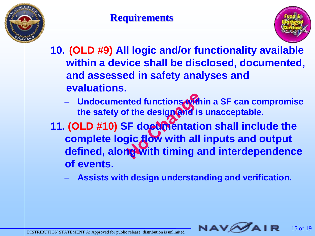



- **10. (OLD #9) All logic and/or functionality available within a device shall be disclosed, documented, and assessed in safety analyses and evaluations.**
	- **Undocumented functions within a SF can compromise the safety of the design and is unacceptable.**
- 11. **(OLD #10) SF documentation shall include the complete logic flow with all inputs and output defined, along with timing and interdependence of events.**
	- **Assists with design understanding and verification.**

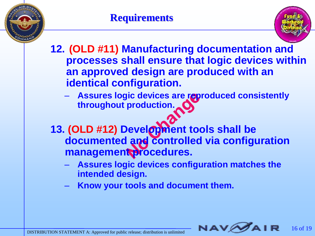



**12. (OLD #11) Manufacturing documentation and processes shall ensure that logic devices within an approved design are produced with an identical configuration.**

- **Assures logic devices are reproduced consistently throughout production.**
- **13. (OLD #12) Development tools shall be documented and controlled via configuration management procedures.**
	- **Assures logic devices configuration matches the intended design.**
	- **Know your tools and document them.**

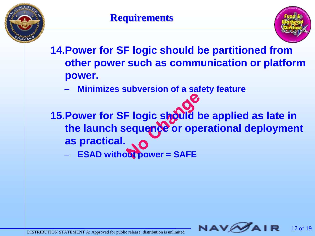



**14.Power for SF logic should be partitioned from other power such as communication or platform power.**

– **Minimizes subversion of a safety feature**

**15. Power for SF logic should be applied as late in the launch sequence or operational deployment as practical.**

– **ESAD without power = SAFE**

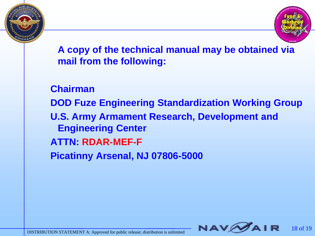



• **A copy of the technical manual may be obtained via mail from the following:**

**Chairman DOD Fuze Engineering Standardization Working Group U.S. Army Armament Research, Development and Engineering Center ATTN: RDAR-MEF-F Picatinny Arsenal, NJ 07806-5000**